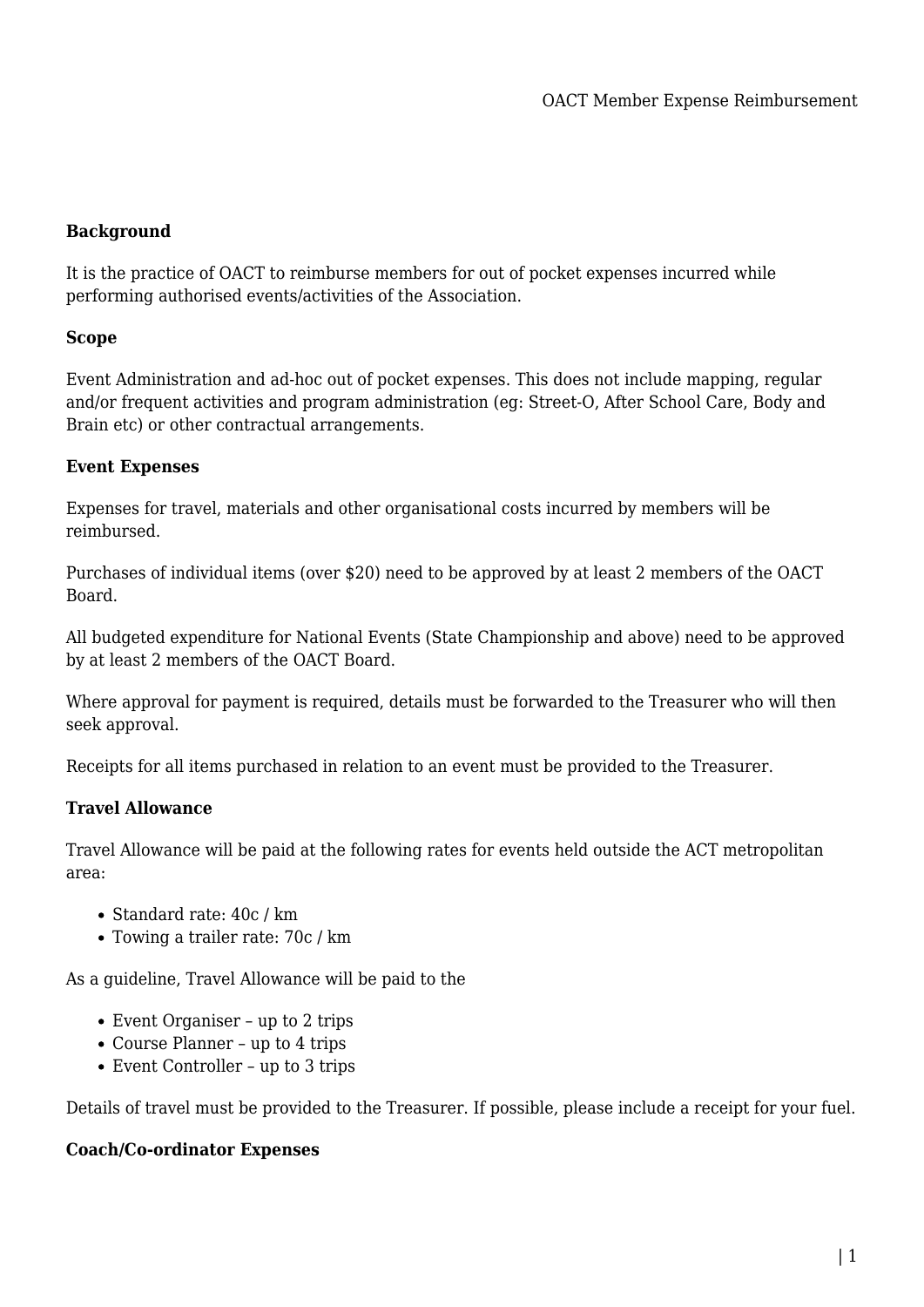# **Background**

It is the practice of OACT to reimburse members for out of pocket expenses incurred while performing authorised events/activities of the Association.

### **Scope**

Event Administration and ad-hoc out of pocket expenses. This does not include mapping, regular and/or frequent activities and program administration (eg: Street-O, After School Care, Body and Brain etc) or other contractual arrangements.

## **Event Expenses**

Expenses for travel, materials and other organisational costs incurred by members will be reimbursed.

Purchases of individual items (over \$20) need to be approved by at least 2 members of the OACT Board.

All budgeted expenditure for National Events (State Championship and above) need to be approved by at least 2 members of the OACT Board.

Where approval for payment is required, details must be forwarded to the Treasurer who will then seek approval.

Receipts for all items purchased in relation to an event must be provided to the Treasurer.

## **Travel Allowance**

Travel Allowance will be paid at the following rates for events held outside the ACT metropolitan area:

- Standard rate: 40c / km
- Towing a trailer rate: 70c / km

As a guideline, Travel Allowance will be paid to the

- Event Organiser up to 2 trips
- Course Planner up to 4 trips
- Event Controller up to 3 trips

Details of travel must be provided to the Treasurer. If possible, please include a receipt for your fuel.

#### **Coach/Co-ordinator Expenses**